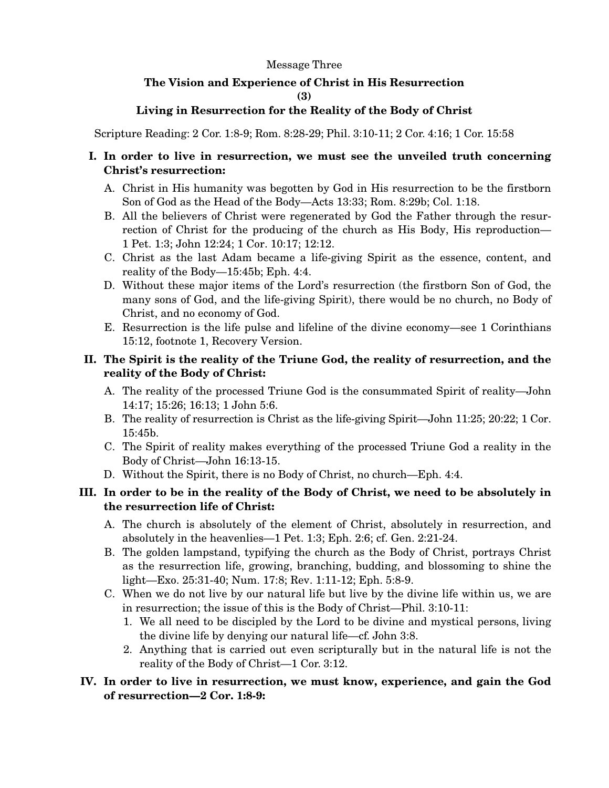#### Message Three

## **The Vision and Experience of Christ in His Resurrection (3)**

## **Living in Resurrection for the Reality of the Body of Christ**

Scripture Reading: 2 Cor. 1:8-9; Rom. 8:28-29; Phil. 3:10-11; 2 Cor. 4:16; 1 Cor. 15:58

## **I. In order to live in resurrection, we must see the unveiled truth concerning Christ's resurrection:**

- A. Christ in His humanity was begotten by God in His resurrection to be the firstborn Son of God as the Head of the Body—Acts 13:33; Rom. 8:29b; Col. 1:18.
- B. All the believers of Christ were regenerated by God the Father through the resurrection of Christ for the producing of the church as His Body, His reproduction— 1 Pet. 1:3; John 12:24; 1 Cor. 10:17; 12:12.
- C. Christ as the last Adam became a life-giving Spirit as the essence, content, and reality of the Body—15:45b; Eph. 4:4.
- D. Without these major items of the Lord's resurrection (the firstborn Son of God, the many sons of God, and the life-giving Spirit), there would be no church, no Body of Christ, and no economy of God.
- E. Resurrection is the life pulse and lifeline of the divine economy—see 1 Corinthians 15:12, footnote 1, Recovery Version.

## **II. The Spirit is the reality of the Triune God, the reality of resurrection, and the reality of the Body of Christ:**

- A. The reality of the processed Triune God is the consummated Spirit of reality—John 14:17; 15:26; 16:13; 1 John 5:6.
- B. The reality of resurrection is Christ as the life-giving Spirit—John 11:25; 20:22; 1 Cor. 15:45b.
- C. The Spirit of reality makes everything of the processed Triune God a reality in the Body of Christ—John 16:13-15.
- D. Without the Spirit, there is no Body of Christ, no church—Eph. 4:4.

# **III. In order to be in the reality of the Body of Christ, we need to be absolutely in the resurrection life of Christ:**

- A. The church is absolutely of the element of Christ, absolutely in resurrection, and absolutely in the heavenlies—1 Pet. 1:3; Eph. 2:6; cf. Gen. 2:21-24.
- B. The golden lampstand, typifying the church as the Body of Christ, portrays Christ as the resurrection life, growing, branching, budding, and blossoming to shine the light—Exo. 25:31-40; Num. 17:8; Rev. 1:11-12; Eph. 5:8-9.
- C. When we do not live by our natural life but live by the divine life within us, we are in resurrection; the issue of this is the Body of Christ—Phil. 3:10-11:
	- 1. We all need to be discipled by the Lord to be divine and mystical persons, living the divine life by denying our natural life—cf. John 3:8.
	- 2. Anything that is carried out even scripturally but in the natural life is not the reality of the Body of Christ—1 Cor. 3:12.

# **IV. In order to live in resurrection, we must know, experience, and gain the God of resurrection—2 Cor. 1:8-9:**